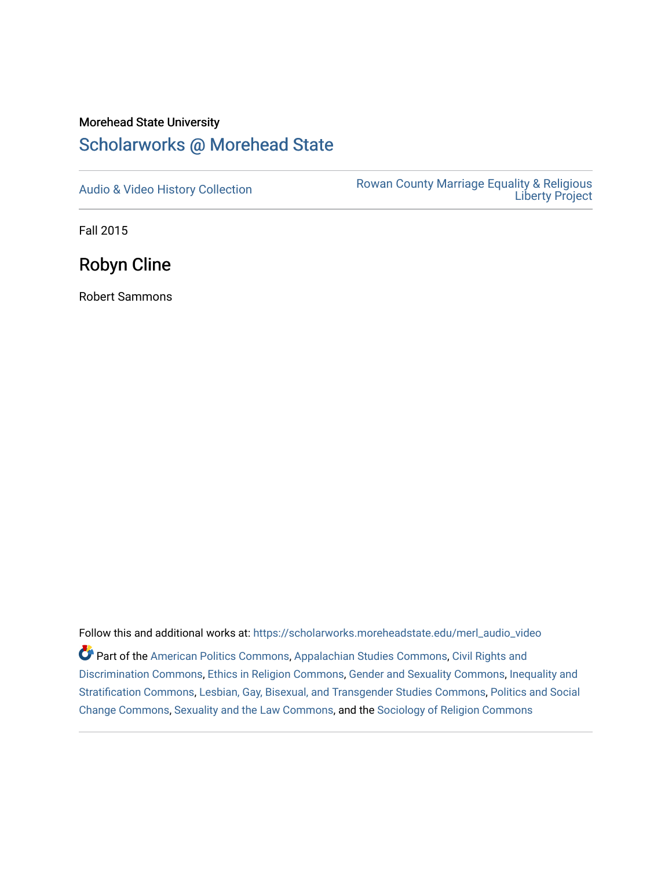## Morehead State University [Scholarworks @ Morehead State](https://scholarworks.moreheadstate.edu/)

[Audio & Video History Collection](https://scholarworks.moreheadstate.edu/merl_audio_video) **Rowan County Marriage Equality & Religious** [Liberty Project](https://scholarworks.moreheadstate.edu/merl) 

Fall 2015

Robyn Cline

Robert Sammons

Follow this and additional works at: [https://scholarworks.moreheadstate.edu/merl\\_audio\\_video](https://scholarworks.moreheadstate.edu/merl_audio_video?utm_source=scholarworks.moreheadstate.edu%2Fmerl_audio_video%2F84&utm_medium=PDF&utm_campaign=PDFCoverPages)  Part of the [American Politics Commons,](http://network.bepress.com/hgg/discipline/387?utm_source=scholarworks.moreheadstate.edu%2Fmerl_audio_video%2F84&utm_medium=PDF&utm_campaign=PDFCoverPages) [Appalachian Studies Commons,](http://network.bepress.com/hgg/discipline/1253?utm_source=scholarworks.moreheadstate.edu%2Fmerl_audio_video%2F84&utm_medium=PDF&utm_campaign=PDFCoverPages) [Civil Rights and](http://network.bepress.com/hgg/discipline/585?utm_source=scholarworks.moreheadstate.edu%2Fmerl_audio_video%2F84&utm_medium=PDF&utm_campaign=PDFCoverPages) [Discrimination Commons,](http://network.bepress.com/hgg/discipline/585?utm_source=scholarworks.moreheadstate.edu%2Fmerl_audio_video%2F84&utm_medium=PDF&utm_campaign=PDFCoverPages) [Ethics in Religion Commons,](http://network.bepress.com/hgg/discipline/541?utm_source=scholarworks.moreheadstate.edu%2Fmerl_audio_video%2F84&utm_medium=PDF&utm_campaign=PDFCoverPages) [Gender and Sexuality Commons](http://network.bepress.com/hgg/discipline/420?utm_source=scholarworks.moreheadstate.edu%2Fmerl_audio_video%2F84&utm_medium=PDF&utm_campaign=PDFCoverPages), [Inequality and](http://network.bepress.com/hgg/discipline/421?utm_source=scholarworks.moreheadstate.edu%2Fmerl_audio_video%2F84&utm_medium=PDF&utm_campaign=PDFCoverPages)  [Stratification Commons](http://network.bepress.com/hgg/discipline/421?utm_source=scholarworks.moreheadstate.edu%2Fmerl_audio_video%2F84&utm_medium=PDF&utm_campaign=PDFCoverPages), [Lesbian, Gay, Bisexual, and Transgender Studies Commons,](http://network.bepress.com/hgg/discipline/560?utm_source=scholarworks.moreheadstate.edu%2Fmerl_audio_video%2F84&utm_medium=PDF&utm_campaign=PDFCoverPages) [Politics and Social](http://network.bepress.com/hgg/discipline/425?utm_source=scholarworks.moreheadstate.edu%2Fmerl_audio_video%2F84&utm_medium=PDF&utm_campaign=PDFCoverPages)  [Change Commons](http://network.bepress.com/hgg/discipline/425?utm_source=scholarworks.moreheadstate.edu%2Fmerl_audio_video%2F84&utm_medium=PDF&utm_campaign=PDFCoverPages), [Sexuality and the Law Commons,](http://network.bepress.com/hgg/discipline/877?utm_source=scholarworks.moreheadstate.edu%2Fmerl_audio_video%2F84&utm_medium=PDF&utm_campaign=PDFCoverPages) and the [Sociology of Religion Commons](http://network.bepress.com/hgg/discipline/1365?utm_source=scholarworks.moreheadstate.edu%2Fmerl_audio_video%2F84&utm_medium=PDF&utm_campaign=PDFCoverPages)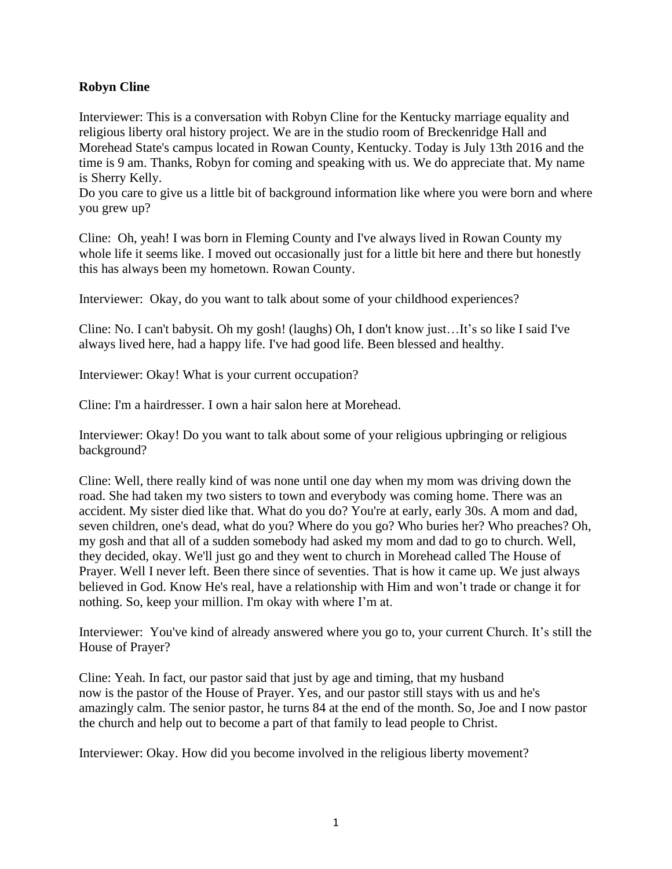## **Robyn Cline**

Interviewer: This is a conversation with Robyn Cline for the Kentucky marriage equality and religious liberty oral history project. We are in the studio room of Breckenridge Hall and Morehead State's campus located in Rowan County, Kentucky. Today is July 13th 2016 and the time is 9 am. Thanks, Robyn for coming and speaking with us. We do appreciate that. My name is Sherry Kelly.

Do you care to give us a little bit of background information like where you were born and where you grew up?

Cline: Oh, yeah! I was born in Fleming County and I've always lived in Rowan County my whole life it seems like. I moved out occasionally just for a little bit here and there but honestly this has always been my hometown. Rowan County.

Interviewer: Okay, do you want to talk about some of your childhood experiences?

Cline: No. I can't babysit. Oh my gosh! (laughs) Oh, I don't know just…It's so like I said I've always lived here, had a happy life. I've had good life. Been blessed and healthy.

Interviewer: Okay! What is your current occupation?

Cline: I'm a hairdresser. I own a hair salon here at Morehead.

Interviewer: Okay! Do you want to talk about some of your religious upbringing or religious background?

Cline: Well, there really kind of was none until one day when my mom was driving down the road. She had taken my two sisters to town and everybody was coming home. There was an accident. My sister died like that. What do you do? You're at early, early 30s. A mom and dad, seven children, one's dead, what do you? Where do you go? Who buries her? Who preaches? Oh, my gosh and that all of a sudden somebody had asked my mom and dad to go to church. Well, they decided, okay. We'll just go and they went to church in Morehead called The House of Prayer. Well I never left. Been there since of seventies. That is how it came up. We just always believed in God. Know He's real, have a relationship with Him and won't trade or change it for nothing. So, keep your million. I'm okay with where I'm at.

Interviewer: You've kind of already answered where you go to, your current Church. It's still the House of Prayer?

Cline: Yeah. In fact, our pastor said that just by age and timing, that my husband now is the pastor of the House of Prayer. Yes, and our pastor still stays with us and he's amazingly calm. The senior pastor, he turns 84 at the end of the month. So, Joe and I now pastor the church and help out to become a part of that family to lead people to Christ.

Interviewer: Okay. How did you become involved in the religious liberty movement?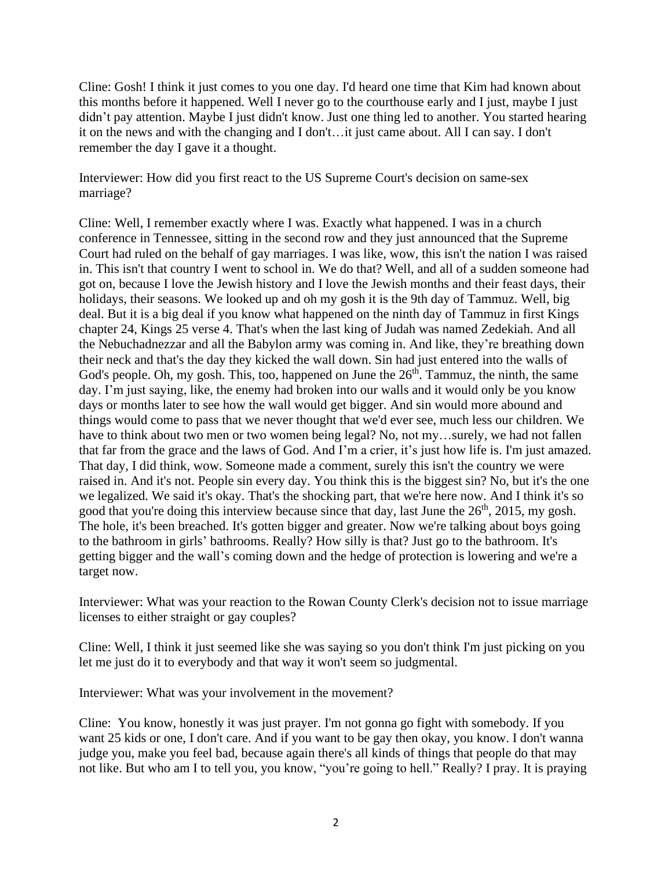Cline: Gosh! I think it just comes to you one day. I'd heard one time that Kim had known about this months before it happened. Well I never go to the courthouse early and I just, maybe I just didn't pay attention. Maybe I just didn't know. Just one thing led to another. You started hearing it on the news and with the changing and I don't…it just came about. All I can say. I don't remember the day I gave it a thought.

Interviewer: How did you first react to the US Supreme Court's decision on same-sex marriage?

Cline: Well, I remember exactly where I was. Exactly what happened. I was in a church conference in Tennessee, sitting in the second row and they just announced that the Supreme Court had ruled on the behalf of gay marriages. I was like, wow, this isn't the nation I was raised in. This isn't that country I went to school in. We do that? Well, and all of a sudden someone had got on, because I love the Jewish history and I love the Jewish months and their feast days, their holidays, their seasons. We looked up and oh my gosh it is the 9th day of Tammuz. Well, big deal. But it is a big deal if you know what happened on the ninth day of Tammuz in first Kings chapter 24, Kings 25 verse 4. That's when the last king of Judah was named Zedekiah. And all the Nebuchadnezzar and all the Babylon army was coming in. And like, they're breathing down their neck and that's the day they kicked the wall down. Sin had just entered into the walls of God's people. Oh, my gosh. This, too, happened on June the  $26<sup>th</sup>$ . Tammuz, the ninth, the same day. I'm just saying, like, the enemy had broken into our walls and it would only be you know days or months later to see how the wall would get bigger. And sin would more abound and things would come to pass that we never thought that we'd ever see, much less our children. We have to think about two men or two women being legal? No, not my...surely, we had not fallen that far from the grace and the laws of God. And I'm a crier, it's just how life is. I'm just amazed. That day, I did think, wow. Someone made a comment, surely this isn't the country we were raised in. And it's not. People sin every day. You think this is the biggest sin? No, but it's the one we legalized. We said it's okay. That's the shocking part, that we're here now. And I think it's so good that you're doing this interview because since that day, last June the 26<sup>th</sup>, 2015, my gosh. The hole, it's been breached. It's gotten bigger and greater. Now we're talking about boys going to the bathroom in girls' bathrooms. Really? How silly is that? Just go to the bathroom. It's getting bigger and the wall's coming down and the hedge of protection is lowering and we're a target now.

Interviewer: What was your reaction to the Rowan County Clerk's decision not to issue marriage licenses to either straight or gay couples?

Cline: Well, I think it just seemed like she was saying so you don't think I'm just picking on you let me just do it to everybody and that way it won't seem so judgmental.

Interviewer: What was your involvement in the movement?

Cline: You know, honestly it was just prayer. I'm not gonna go fight with somebody. If you want 25 kids or one, I don't care. And if you want to be gay then okay, you know. I don't wanna judge you, make you feel bad, because again there's all kinds of things that people do that may not like. But who am I to tell you, you know, "you're going to hell." Really? I pray. It is praying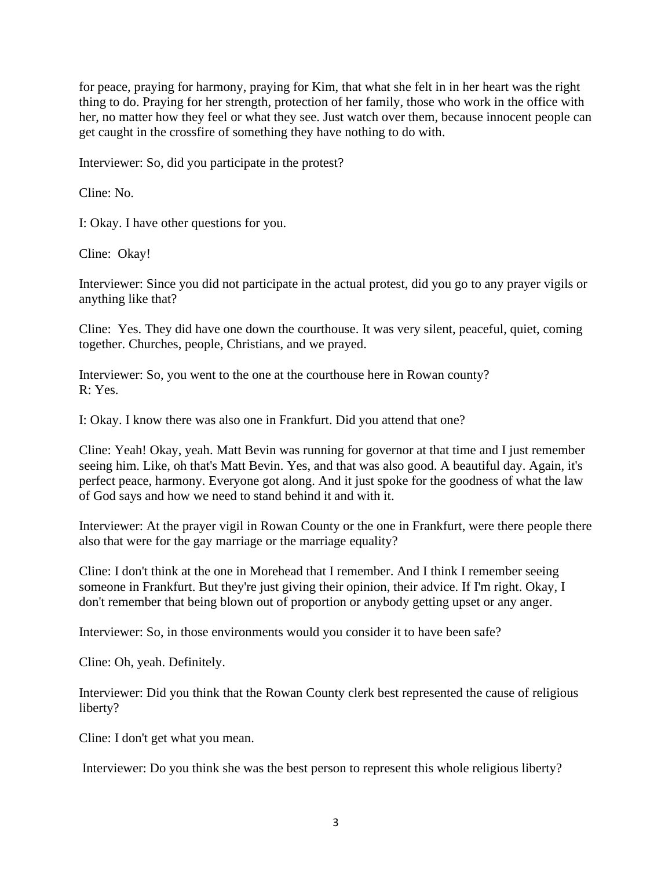for peace, praying for harmony, praying for Kim, that what she felt in in her heart was the right thing to do. Praying for her strength, protection of her family, those who work in the office with her, no matter how they feel or what they see. Just watch over them, because innocent people can get caught in the crossfire of something they have nothing to do with.

Interviewer: So, did you participate in the protest?

Cline: No.

I: Okay. I have other questions for you.

Cline: Okay!

Interviewer: Since you did not participate in the actual protest, did you go to any prayer vigils or anything like that?

Cline: Yes. They did have one down the courthouse. It was very silent, peaceful, quiet, coming together. Churches, people, Christians, and we prayed.

Interviewer: So, you went to the one at the courthouse here in Rowan county? R: Yes.

I: Okay. I know there was also one in Frankfurt. Did you attend that one?

Cline: Yeah! Okay, yeah. Matt Bevin was running for governor at that time and I just remember seeing him. Like, oh that's Matt Bevin. Yes, and that was also good. A beautiful day. Again, it's perfect peace, harmony. Everyone got along. And it just spoke for the goodness of what the law of God says and how we need to stand behind it and with it.

Interviewer: At the prayer vigil in Rowan County or the one in Frankfurt, were there people there also that were for the gay marriage or the marriage equality?

Cline: I don't think at the one in Morehead that I remember. And I think I remember seeing someone in Frankfurt. But they're just giving their opinion, their advice. If I'm right. Okay, I don't remember that being blown out of proportion or anybody getting upset or any anger.

Interviewer: So, in those environments would you consider it to have been safe?

Cline: Oh, yeah. Definitely.

Interviewer: Did you think that the Rowan County clerk best represented the cause of religious liberty?

Cline: I don't get what you mean.

Interviewer: Do you think she was the best person to represent this whole religious liberty?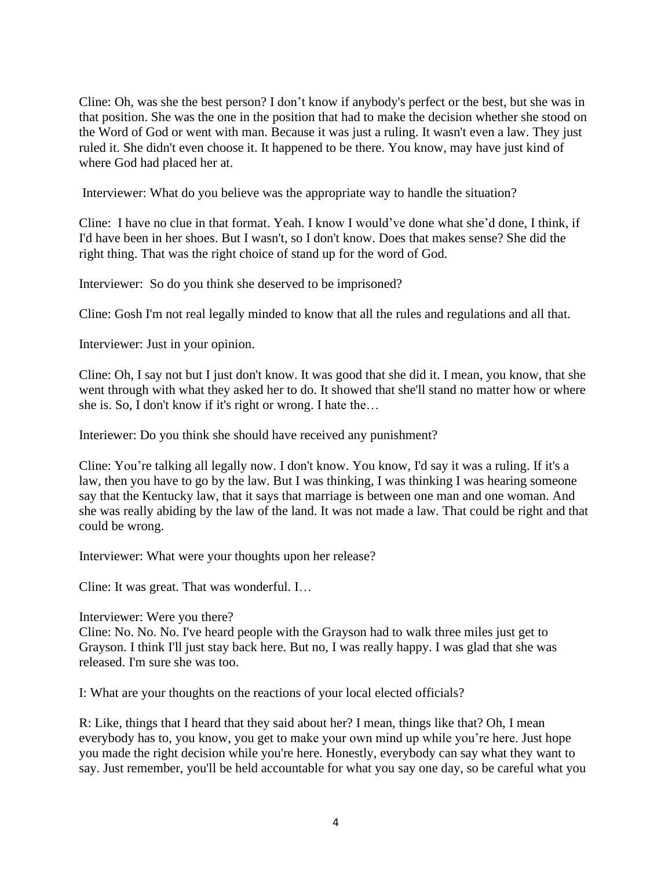Cline: Oh, was she the best person? I don't know if anybody's perfect or the best, but she was in that position. She was the one in the position that had to make the decision whether she stood on the Word of God or went with man. Because it was just a ruling. It wasn't even a law. They just ruled it. She didn't even choose it. It happened to be there. You know, may have just kind of where God had placed her at.

Interviewer: What do you believe was the appropriate way to handle the situation?

Cline: I have no clue in that format. Yeah. I know I would've done what she'd done, I think, if I'd have been in her shoes. But I wasn't, so I don't know. Does that makes sense? She did the right thing. That was the right choice of stand up for the word of God.

Interviewer: So do you think she deserved to be imprisoned?

Cline: Gosh I'm not real legally minded to know that all the rules and regulations and all that.

Interviewer: Just in your opinion.

Cline: Oh, I say not but I just don't know. It was good that she did it. I mean, you know, that she went through with what they asked her to do. It showed that she'll stand no matter how or where she is. So, I don't know if it's right or wrong. I hate the…

Interiewer: Do you think she should have received any punishment?

Cline: You're talking all legally now. I don't know. You know, I'd say it was a ruling. If it's a law, then you have to go by the law. But I was thinking, I was thinking I was hearing someone say that the Kentucky law, that it says that marriage is between one man and one woman. And she was really abiding by the law of the land. It was not made a law. That could be right and that could be wrong.

Interviewer: What were your thoughts upon her release?

Cline: It was great. That was wonderful. I…

Interviewer: Were you there?

Cline: No. No. No. I've heard people with the Grayson had to walk three miles just get to Grayson. I think I'll just stay back here. But no, I was really happy. I was glad that she was released. I'm sure she was too.

I: What are your thoughts on the reactions of your local elected officials?

R: Like, things that I heard that they said about her? I mean, things like that? Oh, I mean everybody has to, you know, you get to make your own mind up while you're here. Just hope you made the right decision while you're here. Honestly, everybody can say what they want to say. Just remember, you'll be held accountable for what you say one day, so be careful what you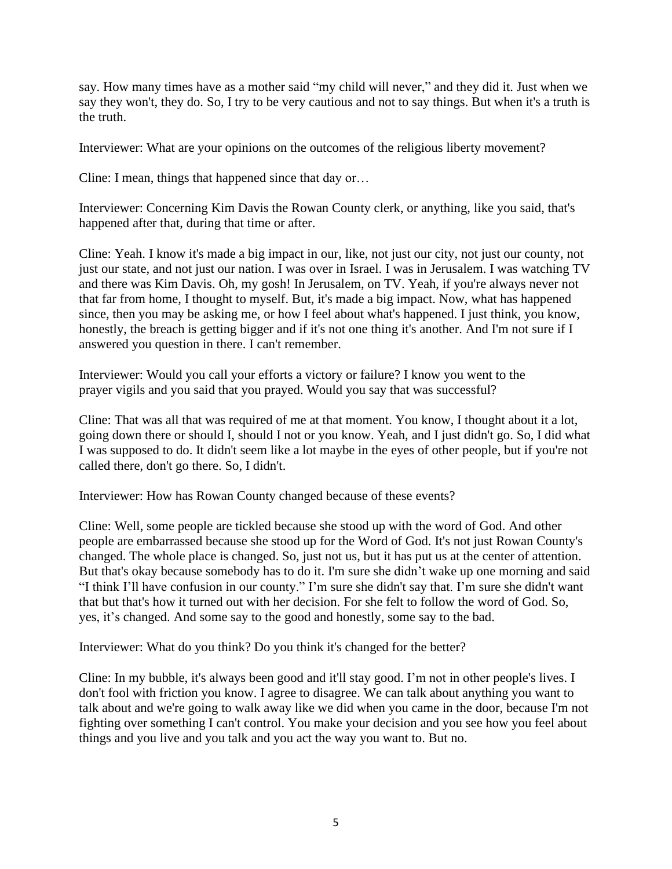say. How many times have as a mother said "my child will never," and they did it. Just when we say they won't, they do. So, I try to be very cautious and not to say things. But when it's a truth is the truth.

Interviewer: What are your opinions on the outcomes of the religious liberty movement?

Cline: I mean, things that happened since that day or…

Interviewer: Concerning Kim Davis the Rowan County clerk, or anything, like you said, that's happened after that, during that time or after.

Cline: Yeah. I know it's made a big impact in our, like, not just our city, not just our county, not just our state, and not just our nation. I was over in Israel. I was in Jerusalem. I was watching TV and there was Kim Davis. Oh, my gosh! In Jerusalem, on TV. Yeah, if you're always never not that far from home, I thought to myself. But, it's made a big impact. Now, what has happened since, then you may be asking me, or how I feel about what's happened. I just think, you know, honestly, the breach is getting bigger and if it's not one thing it's another. And I'm not sure if I answered you question in there. I can't remember.

Interviewer: Would you call your efforts a victory or failure? I know you went to the prayer vigils and you said that you prayed. Would you say that was successful?

Cline: That was all that was required of me at that moment. You know, I thought about it a lot, going down there or should I, should I not or you know. Yeah, and I just didn't go. So, I did what I was supposed to do. It didn't seem like a lot maybe in the eyes of other people, but if you're not called there, don't go there. So, I didn't.

Interviewer: How has Rowan County changed because of these events?

Cline: Well, some people are tickled because she stood up with the word of God. And other people are embarrassed because she stood up for the Word of God. It's not just Rowan County's changed. The whole place is changed. So, just not us, but it has put us at the center of attention. But that's okay because somebody has to do it. I'm sure she didn't wake up one morning and said "I think I'll have confusion in our county." I'm sure she didn't say that. I'm sure she didn't want that but that's how it turned out with her decision. For she felt to follow the word of God. So, yes, it's changed. And some say to the good and honestly, some say to the bad.

Interviewer: What do you think? Do you think it's changed for the better?

Cline: In my bubble, it's always been good and it'll stay good. I'm not in other people's lives. I don't fool with friction you know. I agree to disagree. We can talk about anything you want to talk about and we're going to walk away like we did when you came in the door, because I'm not fighting over something I can't control. You make your decision and you see how you feel about things and you live and you talk and you act the way you want to. But no.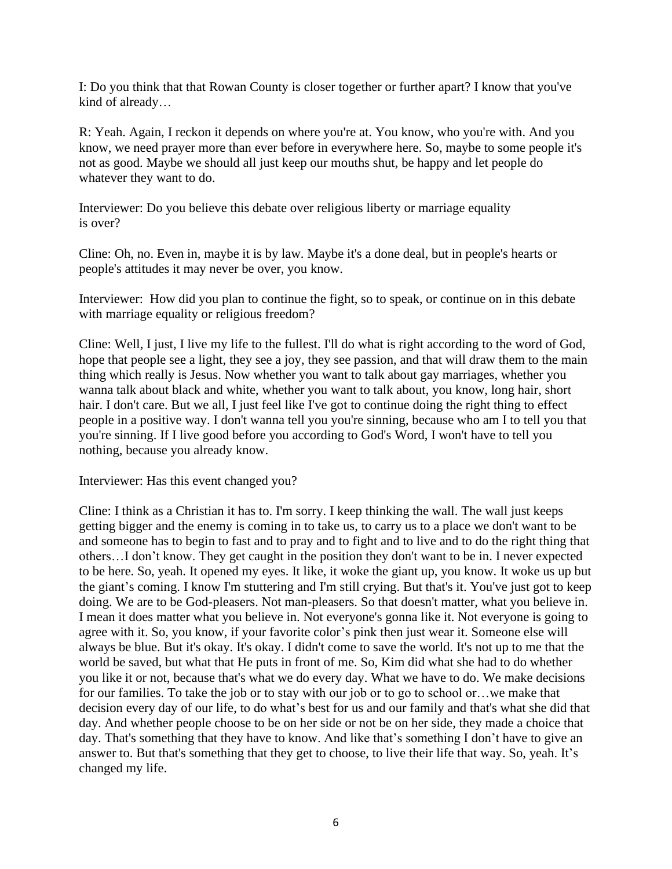I: Do you think that that Rowan County is closer together or further apart? I know that you've kind of already…

R: Yeah. Again, I reckon it depends on where you're at. You know, who you're with. And you know, we need prayer more than ever before in everywhere here. So, maybe to some people it's not as good. Maybe we should all just keep our mouths shut, be happy and let people do whatever they want to do.

Interviewer: Do you believe this debate over religious liberty or marriage equality is over?

Cline: Oh, no. Even in, maybe it is by law. Maybe it's a done deal, but in people's hearts or people's attitudes it may never be over, you know.

Interviewer: How did you plan to continue the fight, so to speak, or continue on in this debate with marriage equality or religious freedom?

Cline: Well, I just, I live my life to the fullest. I'll do what is right according to the word of God, hope that people see a light, they see a joy, they see passion, and that will draw them to the main thing which really is Jesus. Now whether you want to talk about gay marriages, whether you wanna talk about black and white, whether you want to talk about, you know, long hair, short hair. I don't care. But we all, I just feel like I've got to continue doing the right thing to effect people in a positive way. I don't wanna tell you you're sinning, because who am I to tell you that you're sinning. If I live good before you according to God's Word, I won't have to tell you nothing, because you already know.

Interviewer: Has this event changed you?

Cline: I think as a Christian it has to. I'm sorry. I keep thinking the wall. The wall just keeps getting bigger and the enemy is coming in to take us, to carry us to a place we don't want to be and someone has to begin to fast and to pray and to fight and to live and to do the right thing that others…I don't know. They get caught in the position they don't want to be in. I never expected to be here. So, yeah. It opened my eyes. It like, it woke the giant up, you know. It woke us up but the giant's coming. I know I'm stuttering and I'm still crying. But that's it. You've just got to keep doing. We are to be God-pleasers. Not man-pleasers. So that doesn't matter, what you believe in. I mean it does matter what you believe in. Not everyone's gonna like it. Not everyone is going to agree with it. So, you know, if your favorite color's pink then just wear it. Someone else will always be blue. But it's okay. It's okay. I didn't come to save the world. It's not up to me that the world be saved, but what that He puts in front of me. So, Kim did what she had to do whether you like it or not, because that's what we do every day. What we have to do. We make decisions for our families. To take the job or to stay with our job or to go to school or...we make that decision every day of our life, to do what's best for us and our family and that's what she did that day. And whether people choose to be on her side or not be on her side, they made a choice that day. That's something that they have to know. And like that's something I don't have to give an answer to. But that's something that they get to choose, to live their life that way. So, yeah. It's changed my life.